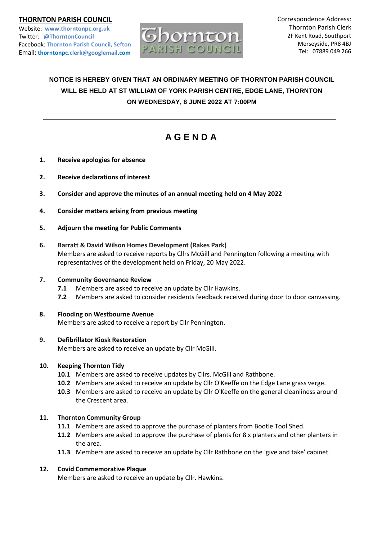# **THORNTON PARISH COUNCIL**

Website: **www.thorntonpc.org.uk** Twitter: **@ThorntonCouncil** Facebook: **Thornton Parish Council, Sefton** Email: **thorntonpc.clerk@googlemail.com**



Correspondence Address: Thornton Parish Clerk 2F Kent Road, Southport Merseyside, PR8 4BJ Tel: 07889 049 266

# **NOTICE IS HEREBY GIVEN THAT AN ORDINARY MEETING OF THORNTON PARISH COUNCIL WILL BE HELD AT ST WILLIAM OF YORK PARISH CENTRE, EDGE LANE, THORNTON ON WEDNESDAY, 8 JUNE 2022 AT 7:00PM**

# **A G E N D A**

- **1. Receive apologies for absence**
- **2. Receive declarations of interest**
- **3. Consider and approve the minutes of an annual meeting held on 4 May 2022**
- **4. Consider matters arising from previous meeting**
- **5. Adjourn the meeting for Public Comments**

# **6. Barratt & David Wilson Homes Development (Rakes Park)**

Members are asked to receive reports by Cllrs McGill and Pennington following a meeting with representatives of the development held on Friday, 20 May 2022.

# **7. Community Governance Review**

- **7.1** Members are asked to receive an update by Cllr Hawkins.
- **7.2** Members are asked to consider residents feedback received during door to door canvassing.

# **8. Flooding on Westbourne Avenue**

Members are asked to receive a report by Cllr Pennington.

# **9. Defibrillator Kiosk Restoration**

Members are asked to receive an update by Cllr McGill.

# **10. Keeping Thornton Tidy**

- **10.1** Members are asked to receive updates by Cllrs. McGill and Rathbone.
- **10.2** Members are asked to receive an update by Cllr O'Keeffe on the Edge Lane grass verge.
- **10.3** Members are asked to receive an update by Cllr O'Keeffe on the general cleanliness around the Crescent area.

# **11. Thornton Community Group**

- **11.1** Members are asked to approve the purchase of planters from Bootle Tool Shed.
- **11.2** Members are asked to approve the purchase of plants for 8 x planters and other planters in the area.
- **11.3** Members are asked to receive an update by Cllr Rathbone on the 'give and take' cabinet.

# **12. Covid Commemorative Plaque**

Members are asked to receive an update by Cllr. Hawkins.